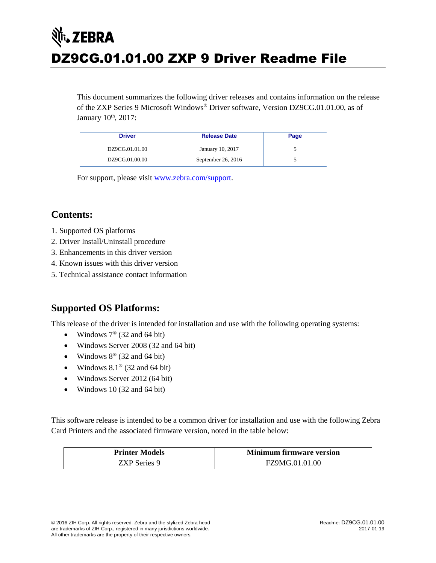# र्शे**ं, ZEBRA** DZ9CG.01.01.00 ZXP 9 Driver Readme File

This document summarizes the following driver releases and contains information on the release of the ZXP Series 9 Microsoft Windows® Driver software, Version DZ9CG.01.01.00, as of January 10<sup>th</sup>, 2017:

| <b>Driver</b>  | <b>Release Date</b> | Page |
|----------------|---------------------|------|
| DZ9CG.01.01.00 | January 10, 2017    |      |
| DZ9CG.01.00.00 | September 26, 2016  |      |

For support, please visit [www.zebra.com/support.](file://///03s-data01/TechPub/Publications/FW%20Release%20Notes/_FrameSource/www.zebra.com/support)

## **Contents:**

- 1. Supported OS platforms
- 2. Driver Install/Uninstall procedure
- 3. Enhancements in this driver version
- 4. Known issues with this driver version
- 5. Technical assistance contact information

# **Supported OS Platforms:**

This release of the driver is intended for installation and use with the following operating systems:

- Windows  $7^{\circ}$  (32 and 64 bit)
- Windows Server 2008 (32 and 64 bit)
- Windows  $8^{\circ}$  (32 and 64 bit)
- Windows  $8.1^\circ$  (32 and 64 bit)
- Windows Server 2012 (64 bit)
- Windows 10 (32 and 64 bit)

This software release is intended to be a common driver for installation and use with the following Zebra Card Printers and the associated firmware version, noted in the table below:

| <b>Printer Models</b> | <b>Minimum firmware version</b> |  |  |
|-----------------------|---------------------------------|--|--|
| ZXP Series 9          | FZ9MG.01.01.00                  |  |  |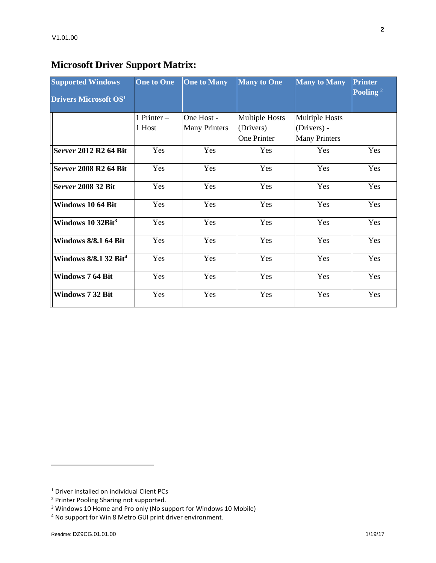# **Microsoft Driver Support Matrix:**

| <b>Supported Windows</b>          | <b>One to One</b>     | <b>One to Many</b>                 | <b>Many to One</b>                                | <b>Many to Many</b>                                          | <b>Printer</b><br>Pooling <sup>2</sup> |
|-----------------------------------|-----------------------|------------------------------------|---------------------------------------------------|--------------------------------------------------------------|----------------------------------------|
| <b>Drivers Microsoft OS1</b>      |                       |                                    |                                                   |                                                              |                                        |
|                                   | 1 Printer -<br>1 Host | One Host -<br><b>Many Printers</b> | <b>Multiple Hosts</b><br>(Drivers)<br>One Printer | <b>Multiple Hosts</b><br>(Drivers) -<br><b>Many Printers</b> |                                        |
| <b>Server 2012 R2 64 Bit</b>      | Yes                   | Yes                                | Yes                                               | Yes                                                          | Yes                                    |
| <b>Server 2008 R2 64 Bit</b>      | Yes                   | Yes                                | Yes                                               | Yes                                                          | Yes                                    |
| <b>Server 2008 32 Bit</b>         | Yes                   | Yes                                | Yes                                               | Yes                                                          | Yes                                    |
| Windows 10 64 Bit                 | Yes                   | Yes                                | Yes                                               | Yes                                                          | Yes                                    |
| Windows 10 32Bit <sup>3</sup>     | Yes                   | Yes                                | Yes                                               | Yes                                                          | Yes                                    |
| <b>Windows 8/8.1 64 Bit</b>       | Yes                   | Yes                                | Yes                                               | Yes                                                          | Yes                                    |
| Windows 8/8.1 32 Bit <sup>4</sup> | Yes                   | Yes                                | Yes                                               | Yes                                                          | Yes                                    |
| <b>Windows 7 64 Bit</b>           | Yes                   | Yes                                | Yes                                               | Yes                                                          | Yes                                    |
| Windows 7 32 Bit                  | Yes                   | Yes                                | Yes                                               | Yes                                                          | Yes                                    |

l

<sup>1</sup> Driver installed on individual Client PCs

<sup>2</sup> Printer Pooling Sharing not supported.

<sup>3</sup> Windows 10 Home and Pro only (No support for Windows 10 Mobile)

<sup>4</sup> No support for Win 8 Metro GUI print driver environment.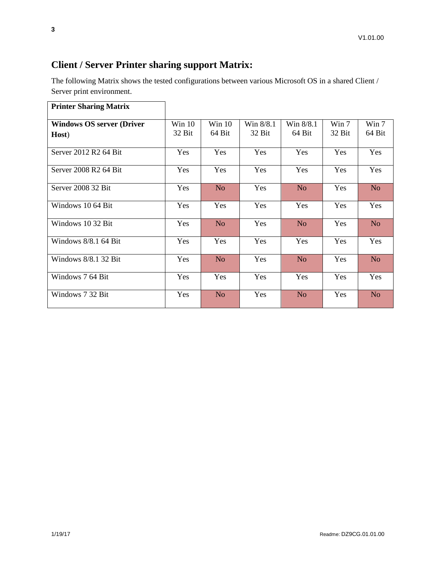# **Client / Server Printer sharing support Matrix:**

The following Matrix shows the tested configurations between various Microsoft OS in a shared Client / Server print environment.

| <b>Printer Sharing Matrix</b>    |          |                |           |                |        |                |
|----------------------------------|----------|----------------|-----------|----------------|--------|----------------|
| <b>Windows OS server (Driver</b> | Win $10$ | Win 10         | Win 8/8.1 | Win 8/8.1      | Win 7  | Win 7          |
| Host)                            | 32 Bit   | 64 Bit         | 32 Bit    | 64 Bit         | 32 Bit | 64 Bit         |
| Server 2012 R2 64 Bit            | Yes      | Yes            | Yes       | Yes            | Yes    | Yes            |
| Server 2008 R2 64 Bit            | Yes      | Yes            | Yes       | Yes            | Yes    | Yes            |
| Server 2008 32 Bit               | Yes      | N <sub>o</sub> | Yes       | N <sub>o</sub> | Yes    | N <sub>o</sub> |
| Windows 10 64 Bit                | Yes      | Yes            | Yes       | Yes            | Yes    | Yes            |
| Windows 10 32 Bit                | Yes      | N <sub>o</sub> | Yes       | N <sub>o</sub> | Yes    | N <sub>o</sub> |
| Windows $8/8.1$ 64 Bit           | Yes      | Yes            | Yes       | Yes            | Yes    | Yes            |
| Windows $8/8.1$ 32 Bit           | Yes      | N <sub>o</sub> | Yes       | N <sub>o</sub> | Yes    | N <sub>o</sub> |
| Windows 7 64 Bit                 | Yes      | Yes            | Yes       | Yes            | Yes    | Yes            |
| Windows 7 32 Bit                 | Yes      | N <sub>o</sub> | Yes       | N <sub>o</sub> | Yes    | N <sub>o</sub> |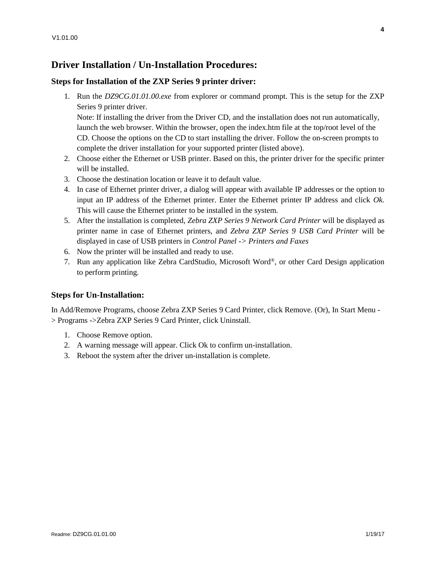## **Driver Installation / Un-Installation Procedures:**

#### **Steps for Installation of the ZXP Series 9 printer driver:**

1. Run the *DZ9CG.01.01.00.exe* from explorer or command prompt. This is the setup for the ZXP Series 9 printer driver.

Note: If installing the driver from the Driver CD, and the installation does not run automatically, launch the web browser. Within the browser, open the index.htm file at the top/root level of the CD. Choose the options on the CD to start installing the driver. Follow the on-screen prompts to complete the driver installation for your supported printer (listed above).

- 2. Choose either the Ethernet or USB printer. Based on this, the printer driver for the specific printer will be installed.
- 3. Choose the destination location or leave it to default value.
- 4. In case of Ethernet printer driver, a dialog will appear with available IP addresses or the option to input an IP address of the Ethernet printer. Enter the Ethernet printer IP address and click *Ok.* This will cause the Ethernet printer to be installed in the system.
- 5. After the installation is completed, *Zebra ZXP Series 9 Network Card Printer* will be displayed as printer name in case of Ethernet printers, and *Zebra ZXP Series 9 USB Card Printer* will be displayed in case of USB printers in *Control Panel -> Printers and Faxes*
- 6. Now the printer will be installed and ready to use.
- 7. Run any application like Zebra CardStudio, Microsoft Word®, or other Card Design application to perform printing.

#### **Steps for Un-Installation:**

In Add/Remove Programs, choose Zebra ZXP Series 9 Card Printer, click Remove. (Or), In Start Menu - > Programs ->Zebra ZXP Series 9 Card Printer, click Uninstall.

- 1. Choose Remove option.
- 2. A warning message will appear. Click Ok to confirm un-installation.
- 3. Reboot the system after the driver un-installation is complete.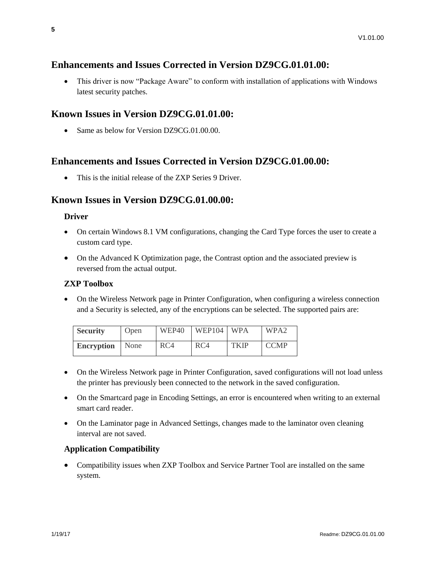## **Enhancements and Issues Corrected in Version DZ9CG.01.01.00:**

 This driver is now "Package Aware" to conform with installation of applications with Windows latest security patches.

## **Known Issues in Version DZ9CG.01.01.00:**

• Same as below for Version DZ9CG.01.00.00.

## **Enhancements and Issues Corrected in Version DZ9CG.01.00.00:**

• This is the initial release of the ZXP Series 9 Driver.

## **Known Issues in Version DZ9CG.01.00.00:**

#### **Driver**

- On certain Windows 8.1 VM configurations, changing the Card Type forces the user to create a custom card type.
- On the Advanced K Optimization page, the Contrast option and the associated preview is reversed from the actual output.

#### **ZXP Toolbox**

 On the Wireless Network page in Printer Configuration, when configuring a wireless connection and a Security is selected, any of the encryptions can be selected. The supported pairs are:

| <b>Security</b>   | Open | WEP40 | WEP104 | <b>WPA</b>  | WPA <sub>2</sub> |
|-------------------|------|-------|--------|-------------|------------------|
| <b>Encryption</b> | None | RC4   | RC4    | <b>TKIP</b> | <b>CCMP</b>      |

- On the Wireless Network page in Printer Configuration, saved configurations will not load unless the printer has previously been connected to the network in the saved configuration.
- On the Smartcard page in Encoding Settings, an error is encountered when writing to an external smart card reader.
- On the Laminator page in Advanced Settings, changes made to the laminator oven cleaning interval are not saved.

### **Application Compatibility**

• Compatibility issues when ZXP Toolbox and Service Partner Tool are installed on the same system.